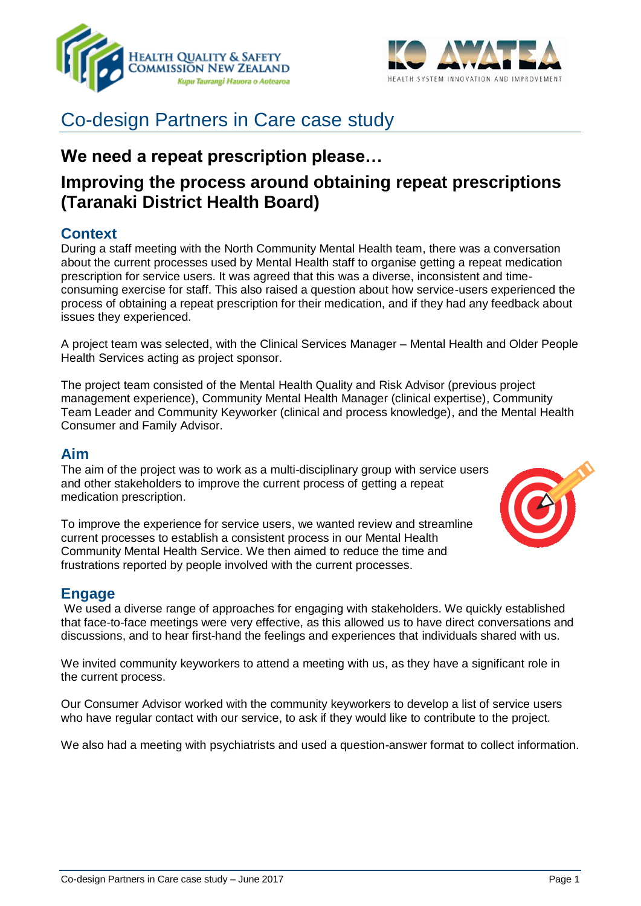



# Co-design Partners in Care case study

# **We need a repeat prescription please…**

# **Improving the process around obtaining repeat prescriptions (Taranaki District Health Board)**

### **Context**

During a staff meeting with the North Community Mental Health team, there was a conversation about the current processes used by Mental Health staff to organise getting a repeat medication prescription for service users. It was agreed that this was a diverse, inconsistent and timeconsuming exercise for staff. This also raised a question about how service-users experienced the process of obtaining a repeat prescription for their medication, and if they had any feedback about issues they experienced.

A project team was selected, with the Clinical Services Manager – Mental Health and Older People Health Services acting as project sponsor.

The project team consisted of the Mental Health Quality and Risk Advisor (previous project management experience), Community Mental Health Manager (clinical expertise), Community Team Leader and Community Keyworker (clinical and process knowledge), and the Mental Health Consumer and Family Advisor.

### **Aim**

The aim of the project was to work as a multi-disciplinary group with service users and other stakeholders to improve the current process of getting a repeat medication prescription.

To improve the experience for service users, we wanted review and streamline current processes to establish a consistent process in our Mental Health Community Mental Health Service. We then aimed to reduce the time and frustrations reported by people involved with the current processes.

### **Engage**

We used a diverse range of approaches for engaging with stakeholders. We quickly established that face-to-face meetings were very effective, as this allowed us to have direct conversations and discussions, and to hear first-hand the feelings and experiences that individuals shared with us.

We invited community keyworkers to attend a meeting with us, as they have a significant role in the current process.

Our Consumer Advisor worked with the community keyworkers to develop a list of service users who have regular contact with our service, to ask if they would like to contribute to the project.

We also had a meeting with psychiatrists and used a question-answer format to collect information.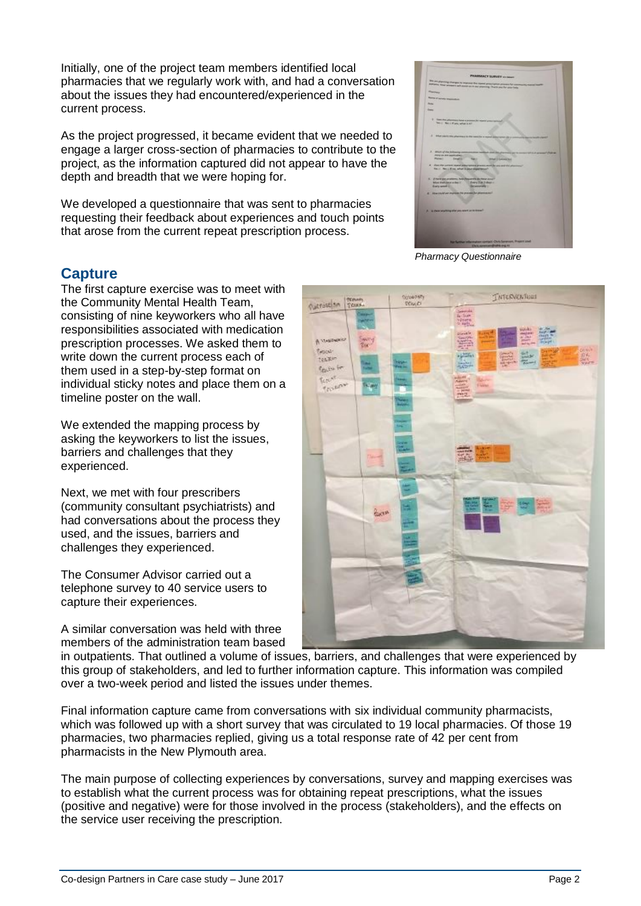Initially, one of the project team members identified local pharmacies that we regularly work with, and had a conversation about the issues they had encountered/experienced in the current process.

As the project progressed, it became evident that we needed to engage a larger cross-section of pharmacies to contribute to the project, as the information captured did not appear to have the depth and breadth that we were hoping for.

We developed a questionnaire that was sent to pharmacies requesting their feedback about experiences and touch points that arose from the current repeat prescription process.



*Pharmacy Questionnaire*

### **Capture**

The first capture exercise was to meet with the Community Mental Health Team, consisting of nine keyworkers who all have responsibilities associated with medication prescription processes. We asked them to write down the current process each of them used in a step-by-step format on individual sticky notes and place them on a timeline poster on the wall.

We extended the mapping process by asking the keyworkers to list the issues, barriers and challenges that they experienced.

Next, we met with four prescribers (community consultant psychiatrists) and had conversations about the process they used, and the issues, barriers and challenges they experienced.

The Consumer Advisor carried out a telephone survey to 40 service users to capture their experiences.

A similar conversation was held with three members of the administration team based



in outpatients. That outlined a volume of issues, barriers, and challenges that were experienced by this group of stakeholders, and led to further information capture. This information was compiled over a two-week period and listed the issues under themes.

Final information capture came from conversations with six individual community pharmacists, which was followed up with a short survey that was circulated to 19 local pharmacies. Of those 19 pharmacies, two pharmacies replied, giving us a total response rate of 42 per cent from pharmacists in the New Plymouth area.

The main purpose of collecting experiences by conversations, survey and mapping exercises was to establish what the current process was for obtaining repeat prescriptions, what the issues (positive and negative) were for those involved in the process (stakeholders), and the effects on the service user receiving the prescription.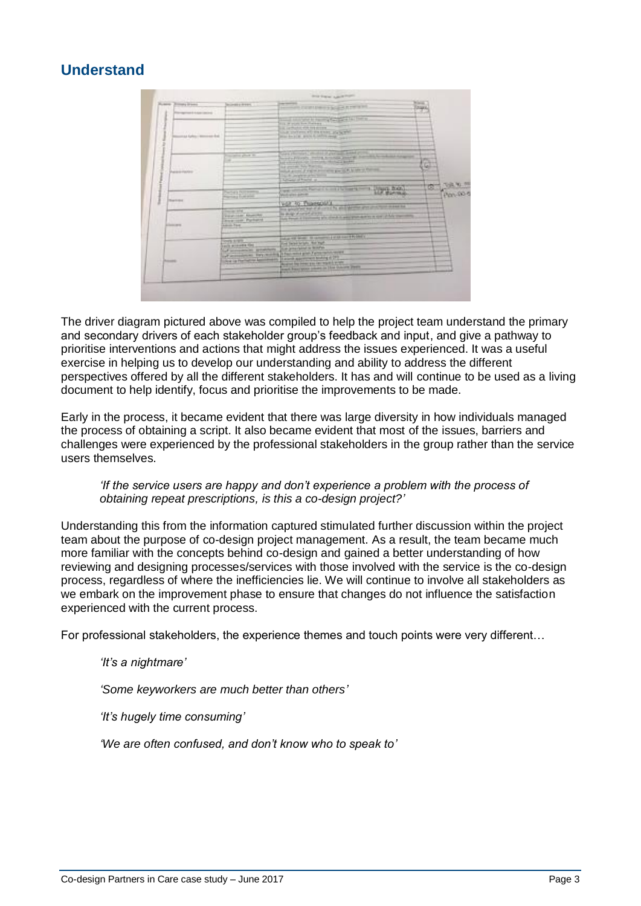## **Understand**

| <b>Entrang Branch</b><br><b>Business</b> | <b>STERN AND</b><br><b>MONEY PIPE</b>                                                                                               | <b>STATISTICS CONTINUES IN THE REPORT</b>                                                                                                                                                                                                                                                                                                                                                                  | <b>TANK</b>              |
|------------------------------------------|-------------------------------------------------------------------------------------------------------------------------------------|------------------------------------------------------------------------------------------------------------------------------------------------------------------------------------------------------------------------------------------------------------------------------------------------------------------------------------------------------------------------------------------------------------|--------------------------|
| spread Licensen L                        |                                                                                                                                     |                                                                                                                                                                                                                                                                                                                                                                                                            |                          |
| .<br>as takes moment for                 |                                                                                                                                     | through the company of the state of the party of the light of<br>112 W punt for Fareer<br><b><i>CALL EXCESSION FOR THE BUILTING</i></b><br>the prevent of the same and he will<br>paint for piler, grant di nortre reng                                                                                                                                                                                    |                          |
| Petronic Patrick                         | to all of place on                                                                                                                  | Gees playing a series of the component and<br><b>PUBLIC PAYMENT AND PUBLIC</b><br>Scott Friday, Street Scotting Street,<br>and without which the full contract to the change product.<br>by prices by Switz.<br>to the prices of the two company and it be seen of the com-<br>the fit was a true of the top<br>Alfred of Fords, at                                                                        | ٠<br>۰<br>w              |
| <b>They index</b>                        | <b>CASE WITHIN</b><br>married furthern                                                                                              | 1. Uppg him.<br>Will, connecting Planticular & constitution in party from<br>Wick Wild Biltow<br>VOL.30 Thomsold L<br>-----                                                                                                                                                                                                                                                                                | $x = \frac{1}{\sqrt{2}}$ |
| 2.000.000<br>. .                         | THE REAL<br><b>FEATURE ROOM</b><br><b>Port com Publicat</b><br><b>College Planet</b>                                                | this second on the distance is an a property and could<br>the study of new first process.<br>the first a common the country and the country of the country                                                                                                                                                                                                                                                 |                          |
| --                                       | <b>STATE</b><br><b>AUTO MANAGERS TONE</b><br>of acceptances, speaking<br>of accompanies, they can be<br>the is the head for the top | Industrial work. It camera points out \$1,000 a<br>the bearings, for red.<br>the placement works.<br><b>The contract of the contract of the contract of the contract of the contract of the contract of the contract of the contract of the contract of the contract of the contract of the contract of the contract of the contract </b><br>the grand from former gas and was selected to the column from |                          |

The driver diagram pictured above was compiled to help the project team understand the primary and secondary drivers of each stakeholder group's feedback and input, and give a pathway to prioritise interventions and actions that might address the issues experienced. It was a useful exercise in helping us to develop our understanding and ability to address the different perspectives offered by all the different stakeholders. It has and will continue to be used as a living document to help identify, focus and prioritise the improvements to be made.

Early in the process, it became evident that there was large diversity in how individuals managed the process of obtaining a script. It also became evident that most of the issues, barriers and challenges were experienced by the professional stakeholders in the group rather than the service users themselves.

#### *'If the service users are happy and don't experience a problem with the process of obtaining repeat prescriptions, is this a co-design project?'*

Understanding this from the information captured stimulated further discussion within the project team about the purpose of co-design project management. As a result, the team became much more familiar with the concepts behind co-design and gained a better understanding of how reviewing and designing processes/services with those involved with the service is the co-design process, regardless of where the inefficiencies lie. We will continue to involve all stakeholders as we embark on the improvement phase to ensure that changes do not influence the satisfaction experienced with the current process.

For professional stakeholders, the experience themes and touch points were very different…

### *'It's a nightmare'*

*'Some keyworkers are much better than others'*

*'It's hugely time consuming'* 

*'We are often confused, and don't know who to speak to'*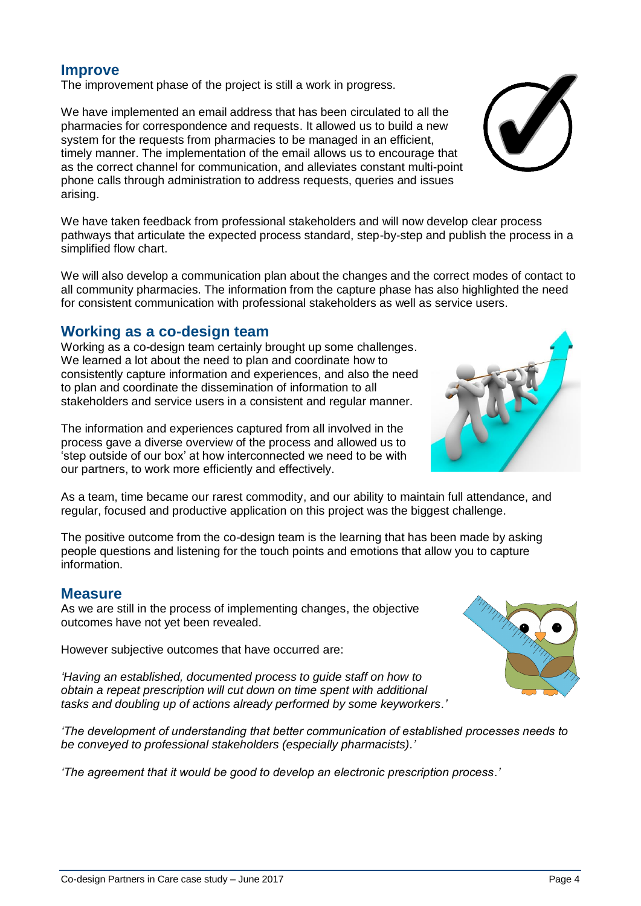## **Improve**

The improvement phase of the project is still a work in progress.

We have implemented an email address that has been circulated to all the pharmacies for correspondence and requests. It allowed us to build a new system for the requests from pharmacies to be managed in an efficient. timely manner. The implementation of the email allows us to encourage that as the correct channel for communication, and alleviates constant multi-point phone calls through administration to address requests, queries and issues arising.

We have taken feedback from professional stakeholders and will now develop clear process pathways that articulate the expected process standard, step-by-step and publish the process in a simplified flow chart.

We will also develop a communication plan about the changes and the correct modes of contact to all community pharmacies. The information from the capture phase has also highlighted the need for consistent communication with professional stakeholders as well as service users.

### **Working as a co-design team**

Working as a co-design team certainly brought up some challenges. We learned a lot about the need to plan and coordinate how to consistently capture information and experiences, and also the need to plan and coordinate the dissemination of information to all stakeholders and service users in a consistent and regular manner.

The information and experiences captured from all involved in the process gave a diverse overview of the process and allowed us to 'step outside of our box' at how interconnected we need to be with our partners, to work more efficiently and effectively.

As a team, time became our rarest commodity, and our ability to maintain full attendance, and regular, focused and productive application on this project was the biggest challenge.

The positive outcome from the co-design team is the learning that has been made by asking people questions and listening for the touch points and emotions that allow you to capture information.

### **Measure**

As we are still in the process of implementing changes, the objective outcomes have not yet been revealed.

However subjective outcomes that have occurred are:

*'Having an established, documented process to guide staff on how to obtain a repeat prescription will cut down on time spent with additional tasks and doubling up of actions already performed by some keyworkers.'*

*'The development of understanding that better communication of established processes needs to be conveyed to professional stakeholders (especially pharmacists).'*

*'The agreement that it would be good to develop an electronic prescription process.'*